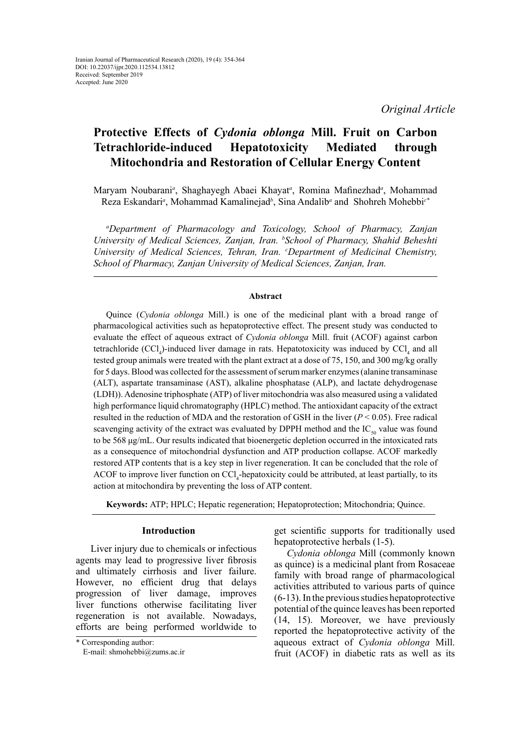*Original Article*

# **Protective Effects of** *Cydonia oblonga* **Mill. Fruit on Carbon Tetrachloride-induced Hepatotoxicity Mediated through Mitochondria and Restoration of Cellular Energy Content**

Maryam Noubarani<sup>a</sup>, Shaghayegh Abaei Khayat<sup>a</sup>, Romina Mafinezhad<sup>a</sup>, Mohammad Reza Eskandari*<sup>a</sup>* , Mohammad Kamalinejad*<sup>b</sup>* , Sina Andalib*<sup>a</sup>* and Shohreh Mohebbi*c\**

*a Department of Pharmacology and Toxicology, School of Pharmacy, Zanjan University of Medical Sciences, Zanjan, Iran. b School of Pharmacy, Shahid Beheshti University of Medical Sciences, Tehran, Iran. c Department of Medicinal Chemistry, School of Pharmacy, Zanjan University of Medical Sciences, Zanjan, Iran.*

## **Abstract**

Quince (*Cydonia oblonga* Mill.) is one of the medicinal plant with a broad range of pharmacological activities such as hepatoprotective effect. The present study was conducted to evaluate the effect of aqueous extract of *Cydonia oblonga* Mill. fruit (ACOF) against carbon tetrachloride  $(CCl_4)$ -induced liver damage in rats. Hepatotoxicity was induced by  $CCl_4$  and all tested group animals were treated with the plant extract at a dose of 75, 150, and 300 mg/kg orally for 5 days. Blood was collected for the assessment of serum marker enzymes (alanine transaminase (ALT), aspartate transaminase (AST), alkaline phosphatase (ALP), and lactate dehydrogenase (LDH)). Adenosine triphosphate (ATP) of liver mitochondria was also measured using a validated high performance liquid chromatography (HPLC) method. The antioxidant capacity of the extract resulted in the reduction of MDA and the restoration of GSH in the liver  $(P < 0.05)$ . Free radical scavenging activity of the extract was evaluated by DPPH method and the  $IC_{\rm so}$  value was found to be 568 μg/mL. Our results indicated that bioenergetic depletion occurred in the intoxicated rats as a consequence of mitochondrial dysfunction and ATP production [collapse.](https://www.google.de/search?rlz=1C1AVNG_enIR702DE705&biw=1280&bih=694&q=define+collapse&forcedict=collapse&sa=X&sqi=2&ved=0ahUKEwjHxberr_HQAhWGWxoKHWbQAH4Q_SoIIjAA) ACOF markedly restored ATP contents that is a key step in liver regeneration. It can be concluded that the role of ACOF to improve liver function on CCl<sub>4</sub>-hepatoxicity could be attributed, at least partially, to its action at mitochondira by preventing the loss of ATP content.

**Keywords:** ATP; HPLC; Hepatic regeneration; Hepatoprotection; Mitochondria; Quince.

## **Introduction**

 Liver injury due to chemicals or infectious agents may lead to progressive liver fibrosis and ultimately cirrhosis and liver failure. However, no efficient drug that delays progression of liver damage, improves liver functions otherwise facilitating liver regeneration is not available. Nowadays, efforts are being performed worldwide to

get scientific supports for traditionally used hepatoprotective herbals (1-5).

*Cydonia oblonga* Mill (commonly known as quince) is a medicinal plant from Rosaceae family with broad range of pharmacological activities attributed to various parts of quince (6-13). In the previous studies hepatoprotective potential of the quince leaves has been reported (14, 15). Moreover, we have previously reported the hepatoprotective activity of the aqueous extract of *Cydonia oblonga* Mill. fruit (ACOF) in diabetic rats as well as its

<sup>\*</sup> Corresponding author:

E-mail: shmohebbi@zums.ac.ir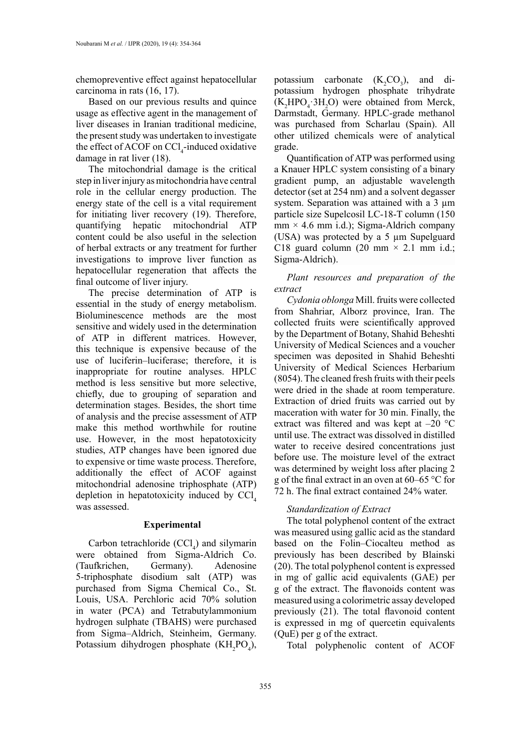chemopreventive effect against hepatocellular carcinoma in rats (16, 17).

Based on our previous results and quince usage as effective agent in the management of liver diseases in Iranian traditional medicine, the present study was undertaken to investigate the effect of ACOF on  $\text{CCI}_4$ -induced oxidative damage in rat liver (18).

The mitochondrial damage is the critical step in liver injury as mitochondria have central role in the cellular energy production. The energy state of the cell is a vital requirement for initiating liver recovery (19). Therefore, quantifying hepatic mitochondrial ATP content could be also useful in the selection of herbal extracts or any treatment for further investigations to improve liver function as hepatocellular regeneration that affects the final outcome of liver injury.

The precise determination of ATP is essential in the study of energy metabolism. Bioluminescence methods are the most sensitive and widely used in the determination of ATP in different matrices. However, this technique is expensive because of the use of luciferin–luciferase; therefore, it is inappropriate for routine analyses. HPLC method is less sensitive but more selective, chiefly, due to grouping of separation and determination stages. Besides, the short time of analysis and the precise assessment of ATP make this method worthwhile for routine use. However, in the most hepatotoxicity studies, ATP changes have been ignored due to expensive or time waste process. Therefore, additionally the effect of ACOF against mitochondrial adenosine triphosphate (ATP) depletion in hepatotoxicity induced by  $\text{CCl}_4$ was assessed.

#### **Experimental**

Carbon tetrachloride  $(CCl<sub>4</sub>)$  and silymarin were obtained from Sigma-Aldrich Co. (Taufkrichen, Germany). Adenosine 5-triphosphate disodium salt (ATP) was purchased from Sigma Chemical Co., St. Louis, USA. Perchloric acid 70% solution in water (PCA) and Tetrabutylammonium hydrogen sulphate (TBAHS) were purchased from Sigma–Aldrich, Steinheim, Germany. Potassium dihydrogen phosphate  $(KH_2PO_4)$ , potassium carbonate  $(K_2CO_3)$ , and dipotassium hydrogen phosphate trihydrate  $(K_2 HPO_4 \cdot 3H_2 O)$  were obtained from Merck, Darmstadt, Germany. HPLC-grade methanol was purchased from Scharlau (Spain). All other utilized chemicals were of analytical grade.

Quantification of ATP was performed using a Knauer HPLC system consisting of a binary gradient pump, an adjustable wavelength detector (set at 254 nm) and a solvent degasser system. Separation was attained with a 3  $\mu$ m particle size Supelcosil LC-18-T column (150  $mm \times 4.6$  mm i.d.); Sigma-Aldrich company (USA) was protected by a 5 µm Supelguard C18 guard column (20 mm  $\times$  2.1 mm i.d.; Sigma-Aldrich).

# *Plant resources and preparation of the extract*

*Cydonia oblonga* Mill. fruits were collected from Shahriar, Alborz province, Iran. The collected fruits were scientifically approved by the Department of Botany, Shahid Beheshti University of Medical Sciences and a voucher specimen was deposited in Shahid Beheshti University of Medical Sciences Herbarium (8054). The cleaned fresh fruits with their peels were dried in the shade at room temperature. Extraction of dried fruits was carried out by maceration with water for 30 min. Finally, the extract was filtered and was kept at –20 °C until use. The extract was dissolved in distilled water to receive desired concentrations just before use. The moisture level of the extract was determined by weight loss after placing 2 g of the final extract in an oven at 60–65 °C for 72 h. The final extract contained 24% water.

## *Standardization of Extract*

The total polyphenol content of the extract was measured using gallic acid as the standard based on the Folin–Ciocalteu method as previously has been described by Blainski (20). The total polyphenol content is expressed in mg of gallic acid equivalents (GAE) per g of the extract. The flavonoids content was measured using a colorimetric assay developed previously (21). The total flavonoid content is expressed in mg of quercetin equivalents (QuE) per g of the extract.

Total polyphenolic content of ACOF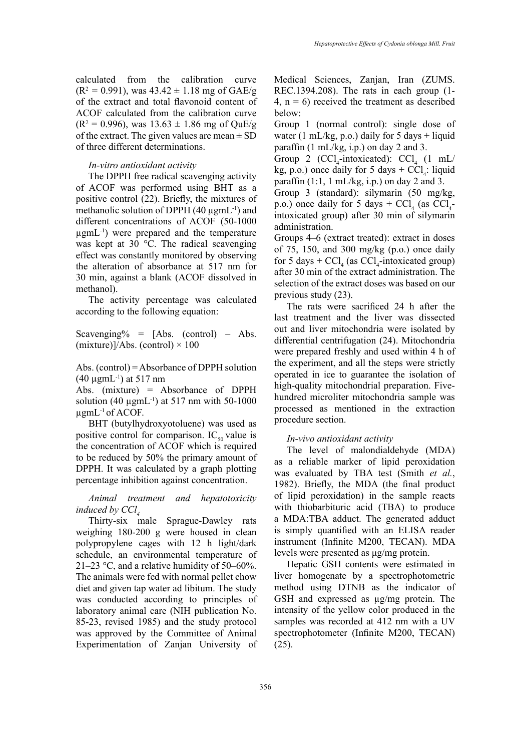calculated from the calibration curve  $(R^2 = 0.991)$ , was  $43.42 \pm 1.18$  mg of GAE/g of the extract and total flavonoid content of ACOF calculated from the calibration curve  $(R^2 = 0.996)$ , was  $13.63 \pm 1.86$  mg of OuE/g of the extract. The given values are mean  $\pm$  SD of three different determinations.

## *In-vitro antioxidant activity*

The DPPH free radical scavenging activity of ACOF was performed using BHT as a positive control (22). Briefly, the mixtures of methanolic solution of DPPH (40 µgmL-1) and different concentrations of ACOF (50-1000  $\mu$ gmL<sup>-1</sup>) were prepared and the temperature was kept at 30 °C. The radical scavenging effect was constantly monitored by observing the alteration of absorbance at 517 nm for 30 min, against a blank (ACOF dissolved in methanol).

The activity percentage was calculated according to the following equation:

Scavenging% =  $[Abs. (control) - Abs.$ (mixture)]/Abs. (control)  $\times$  100

Abs. (control) = Absorbance of DPPH solution  $(40 \mu gmL^{-1})$  at 517 nm

Abs. (mixture) = Absorbance of DPPH solution (40  $\mu$ gmL<sup>-1</sup>) at 517 nm with 50-1000  $\mu$ gmL<sup>-1</sup> of ACOF.

BHT (butylhydroxyotoluene) was used as positive control for comparison.  $IC_{50}$  value is the concentration of ACOF which is required to be reduced by 50% the primary amount of DPPH. It was calculated by a graph plotting percentage inhibition against concentration.

*Animal treatment and hepatotoxicity induced by CCl* 

Thirty-six male Sprague-Dawley rats weighing 180-200 g were housed in clean polypropylene cages with 12 h light/dark schedule, an environmental temperature of 21–23 °C, and a relative humidity of 50–60%. The animals were fed with normal pellet chow diet and given tap water ad libitum. The study was conducted according to principles of laboratory animal care (NIH publication No. 85-23, revised 1985) and the study protocol was approved by the Committee of Animal Experimentation of Zanjan University of Medical Sciences, Zanjan, Iran (ZUMS. REC.1394.208). The rats in each group (1- 4,  $n = 6$ ) received the treatment as described below:

Group 1 (normal control): single dose of water (1 mL/kg, p.o.) daily for  $5 \text{ days} + \text{liquid}$ paraffin  $(1 \text{ mL/kg}, i.p.)$  on day 2 and 3.

Group 2 (CCl<sub>4</sub>-intoxicated): CCl<sub>4</sub> (1 mL/ kg, p.o.) once daily for 5 days +  $CCl<sub>4</sub>$ : liquid paraffin  $(1:1, 1 \text{ mL/kg}, i.p.)$  on day 2 and 3.

Group 3 (standard): silymarin (50 mg/kg, p.o.) once daily for 5 days +  $\text{CCl}_4$  (as  $\text{CCl}_4$ intoxicated group) after 30 min of silymarin administration.

Groups 4–6 (extract treated): extract in doses of 75, 150, and 300 mg/kg (p.o.) once daily for 5 days +  $\text{CCl}_4$  (as  $\text{CCl}_4$ -intoxicated group) after 30 min of the extract administration. The selection of the extract doses was based on our previous study (23).

The rats were sacrificed 24 h after the last treatment and the liver was dissected out and liver mitochondria were isolated by differential centrifugation (24). Mitochondria were prepared freshly and used within 4 h of the experiment, and all the steps were strictly operated in ice to guarantee the isolation of high-quality mitochondrial preparation. Fivehundred microliter mitochondria sample was processed as mentioned in the extraction procedure section.

## *In-vivo antioxidant activity*

The level of malondialdehyde (MDA) as a reliable marker of lipid peroxidation was evaluated by TBA test (Smith *et al.*, 1982). Briefly, the MDA (the final product of lipid peroxidation) in the sample reacts with thiobarbituric acid (TBA) to produce a MDA:TBA adduct. The generated adduct is simply quantified with an ELISA reader instrument (Infinite M200, TECAN). MDA levels were presented as μg/mg protein.

Hepatic GSH contents were estimated in liver homogenate by a spectrophotometric method using DTNB as the indicator of GSH and expressed as  $\mu$ g/mg protein. The intensity of the yellow color produced in the samples was recorded at 412 nm with a UV spectrophotometer (Infinite M200, TECAN) (25).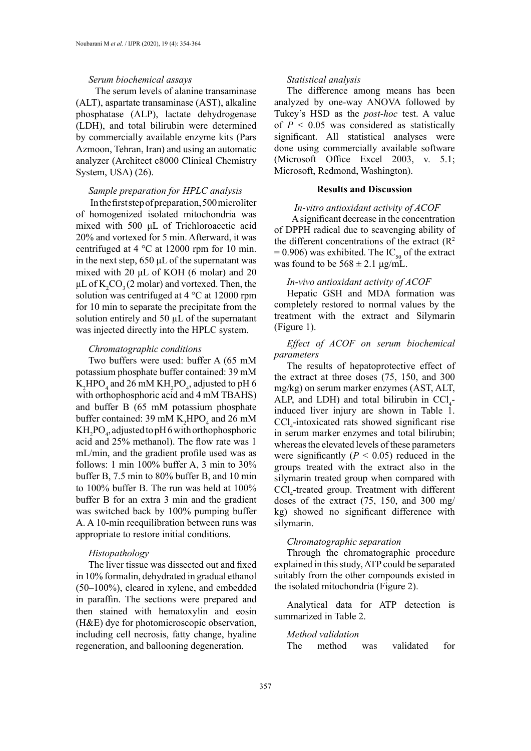## *Serum biochemical assays*

 The serum levels of alanine transaminase (ALT), aspartate transaminase (AST), alkaline phosphatase (ALP), lactate dehydrogenase (LDH), and total bilirubin were determined by commercially available enzyme kits (Pars Azmoon, Tehran, Iran) and using an automatic analyzer (Architect c8000 Clinical Chemistry System, USA) (26).

## *Sample preparation for HPLC analysis*

 In the first step of preparation, 500 microliter of homogenized isolated mitochondria was mixed with 500 μL of Trichloroacetic acid 20% and vortexed for 5 min. Afterward, it was centrifuged at 4 °C at 12000 rpm for 10 min. in the next step, 650 μL of the supernatant was mixed with 20 μL of KOH (6 molar) and 20 μL of  $K_2CO_3(2 \text{ molar})$  and vortexed. Then, the solution was centrifuged at 4 °C at 12000 rpm for 10 min to separate the precipitate from the solution entirely and 50  $\mu$ L of the supernatant was injected directly into the HPLC system.

#### *Chromatographic conditions*

Two buffers were used: buffer A (65 mM potassium phosphate buffer contained: 39 mM  $K_2$ HPO<sub>4</sub> and 26 mM  $KH_2$ PO<sub>4</sub>, adjusted to pH 6 with orthophosphoric acid and 4 mM TBAHS) and buffer B (65 mM potassium phosphate buffer contained: 39 mM  $K_2$ HPO<sub>4</sub> and 26 mM  $KH_2PO_4$ , adjusted to pH 6 with orthophosphoric acid and 25% methanol). The flow rate was 1 mL/min, and the gradient profile used was as follows: 1 min 100% buffer A, 3 min to 30% buffer B, 7.5 min to 80% buffer B, and 10 min to 100% buffer B. The run was held at 100% buffer B for an extra 3 min and the gradient was switched back by 100% pumping buffer A. A 10-min reequilibration between runs was appropriate to restore initial conditions.

## *Histopathology*

The liver tissue was dissected out and fixed in 10% formalin, dehydrated in gradual ethanol (50–100%), cleared in xylene, and embedded in paraffin. The sections were prepared and then stained with hematoxylin and eosin (H&E) dye for photomicroscopic observation, including cell necrosis, fatty change, hyaline regeneration, and ballooning degeneration.

## *Statistical analysis*

The difference among means has been analyzed by one-way ANOVA followed by Tukey's HSD as the *post-hoc* test. A value of  $P < 0.05$  was considered as statistically significant. All statistical analyses were done using commercially available software (Microsoft Office Excel 2003, v. 5.1; Microsoft, Redmond, Washington).

## **Results and Discussion**

## *In-vitro antioxidant activity of ACOF*

 A significant decrease in the concentration of DPPH radical due to scavenging ability of the different concentrations of the extract  $(R<sup>2</sup>$  $= 0.906$ ) was exhibited. The IC<sub>50</sub> of the extract was found to be  $568 \pm 2.1$  μg/mL.

## *In-vivo antioxidant activity of ACOF*

Hepatic GSH and MDA formation was completely restored to normal values by the treatment with the extract and Silymarin (Figure 1).

# *Effect of ACOF on serum biochemical parameters*

The results of hepatoprotective effect of the extract at three doses (75, 150, and 300 mg/kg) on serum marker enzymes (AST, ALT, ALP, and LDH) and total bilirubin in  $\text{CCl}_4$ induced liver injury are shown in Table 1.  $\text{CCl}_4$ -intoxicated rats showed significant rise in serum marker enzymes and total bilirubin; whereas the elevated levels of these parameters were significantly  $(P < 0.05)$  reduced in the groups treated with the extract also in the silymarin treated group when compared with CCl4 -treated group. Treatment with different doses of the extract (75, 150, and 300 mg/ kg) showed no significant difference with silymarin.

## *Chromatographic separation*

Through the chromatographic procedure explained in this study, ATP could be separated suitably from the other compounds existed in the isolated mitochondria (Figure 2).

Analytical data for ATP detection is summarized in Table 2.

## *Method validation*

The method was validated for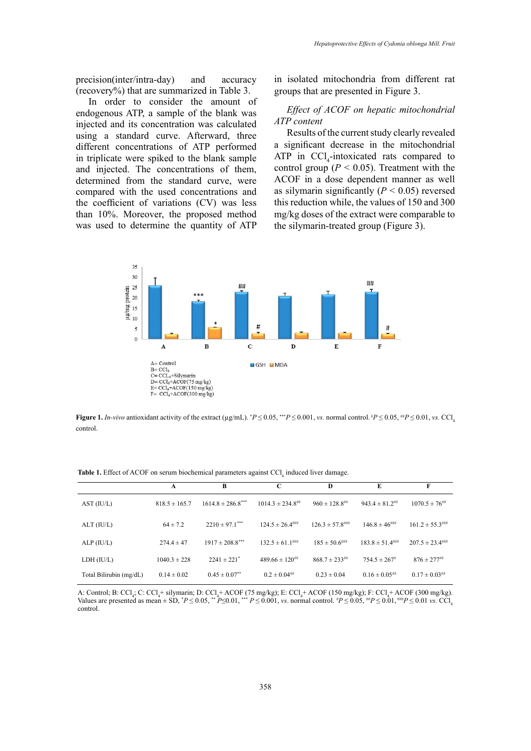precision(inter/intra-day) and accuracy (recovery%) that are summarized in Table 3.

In order to consider the amount of endogenous ATP, a sample of the blank was injected and its concentration was calculated using a standard curve. Afterward, three different concentrations of ATP performed in triplicate were spiked to the blank sample and injected. The concentrations of them, determined from the standard curve, were compared with the used concentrations and the coefficient of variations (CV) was less than 10%. Moreover, the proposed method was used to determine the quantity of ATP in isolated mitochondria from different rat groups that are presented in Figure 3.

# *Effect of ACOF on hepatic mitochondrial ATP content*

Results of the current study clearly revealed a significant decrease in the mitochondrial ATP in  $\text{CCI}_4$ -intoxicated rats compared to control group ( $P < 0.05$ ). Treatment with the ACOF in a dose dependent manner as well as silymarin significantly  $(P < 0.05)$  reversed this reduction while, the values of 150 and 300 mg/kg doses of the extract were comparable to the silymarin-treated group (Figure 3).



**Figure 1.** *In-vivo* antioxidant activity of the extract ( $\mu$ g/mL). \**P* ≤ 0.05, \*\**P* ≤ 0.001, *vs.* normal control. \**P* ≤ 0.05, \*\**P* ≤ 0.01, *vs.* CCl<sub>4</sub> control.

**Table 1.** Effect of ACOF on serum biochemical parameters against CCl<sub>4</sub> induced liver damage.

|                         | A                 | B                               | C                                | D                                | E                                | F                                |
|-------------------------|-------------------|---------------------------------|----------------------------------|----------------------------------|----------------------------------|----------------------------------|
| AST (IU/L)              | $818.5 \pm 165.7$ | $1614.8 \pm 286.8$ ***          | $1014.3 \pm 234.8$ <sup>##</sup> | $960 \pm 128.8$ <sup>##</sup>    | $943.4 \pm 81.2$ <sup>##</sup>   | $1070.5 \pm 76^{***}$            |
| ALT (IU/L)              | $64 \pm 7.2$      | $2210 \pm 97.1$ <sup>****</sup> | $124.5 \pm 26.4$ <sup>****</sup> | $126.3 \pm 57.8$ <sup>****</sup> | $146.8 \pm 46^{***}$             | $161.2 \pm 55.3$ <sup>****</sup> |
| ALP (IU/L)              | $274.4 \pm 47$    | $1917 \pm 208.8$ <sup>***</sup> | $132.5 \pm 61.1$                 | $185 \pm 50.6$ ###               | $183.8 \pm 51.4$ <sup>****</sup> | $207.5 \pm 23.4$ ###             |
| LDH (IU/L)              | $1040.3 \pm 228$  | $2241 \pm 221$ <sup>*</sup>     | $489.66 \pm 120$ <sup>##</sup>   | $868.7 \pm 233$ <sup>##</sup>    | $754.5 \pm 267$                  | $876 \pm 277$ <sup>##</sup>      |
| Total Bilirubin (mg/dL) | $0.14 \pm 0.02$   | $0.45 \pm 0.07$ <sup>**</sup>   | $0.2 \pm 0.04^{$                 | $0.23 \pm 0.04$                  | $0.16 \pm 0.05^{***}$            | $0.17 \pm 0.03$ ##               |

A: Control; B: CCl<sub>4</sub>; C: CCl<sub>4</sub>+ silymarin; D: CCl<sub>4</sub>+ ACOF (75 mg/kg); E: CCl<sub>4</sub>+ ACOF (150 mg/kg); F: CCl<sub>4</sub>+ ACOF (300 mg/kg). Values are presented as mean  $\pm$  SD,  $^*P \le 0.05$ ,  $^*P \le 0.01$ ,  $^{**}P \le 0.001$ , *vs.* normal control.  $^*P \le 0.05$ ,  $^{**}P \le 0.01$ ,  $^{***}P \le 0.01$  *vs.* CCl<sub>4</sub> control.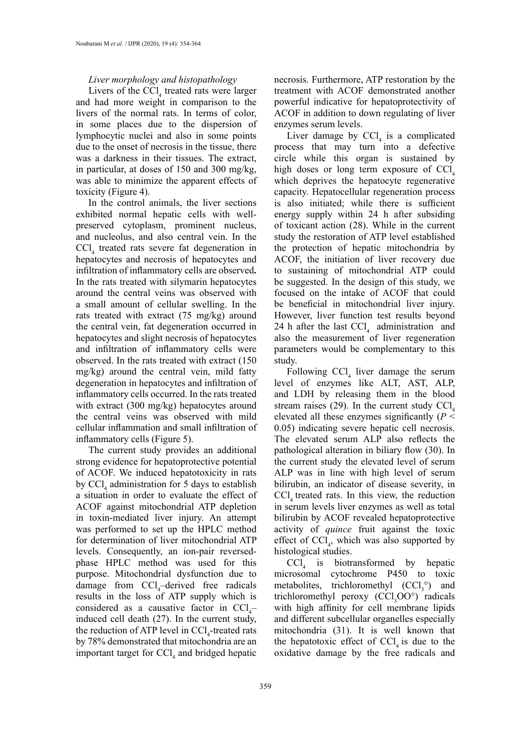## *Liver morphology and histopathology*

Livers of the  $\text{CCl}_4$  treated rats were larger and had more weight in comparison to the livers of the normal rats. In terms of color, in some places due to the dispersion of lymphocytic nuclei and also in some points due to the onset of necrosis in the tissue, there was a darkness in their tissues. The extract, in particular, at doses of 150 and 300 mg/kg, was able to minimize the apparent effects of toxicity (Figure 4).

In the control animals, the liver sections exhibited normal hepatic cells with wellpreserved cytoplasm, prominent nucleus, and nucleolus, and also central vein. In the  $\text{CCl}_4$  treated rats severe fat degeneration in hepatocytes and necrosis of hepatocytes and infiltration of inflammatory cells are observed**.** In the rats treated with silymarin hepatocytes around the central veins was observed with a small amount of cellular swelling. In the rats treated with extract (75 mg/kg) around the central vein, fat degeneration occurred in hepatocytes and slight necrosis of hepatocytes and infiltration of inflammatory cells were observed. In the rats treated with extract (150 mg/kg) around the central vein, mild fatty degeneration in hepatocytes and infiltration of inflammatory cells occurred. In the rats treated with extract (300 mg/kg) hepatocytes around the central veins was observed with mild cellular inflammation and small infiltration of inflammatory cells (Figure 5).

The current study provides an additional strong evidence for hepatoprotective potential of ACOF. We induced hepatotoxicity in rats by  $\text{CCI}_4$  administration for 5 days to establish a situation in order to evaluate the effect of ACOF against mitochondrial ATP depletion in toxin-mediated liver injury. An attempt was performed to set up the HPLC method for determination of liver mitochondrial ATP levels. Consequently, an ion-pair reversedphase HPLC method was used for this purpose. Mitochondrial dysfunction due to damage from  $\text{CCl}_4$ -derived free radicals results in the loss of ATP supply which is considered as a causative factor in  $\text{CCl}_4$ induced cell death (27). In the current study, the reduction of ATP level in  $\text{CCl}_4$ -treated rats by 78% demonstrated that mitochondria are an important target for  $\text{CCI}_4$  and bridged hepatic necrosis. Furthermore, ATP restoration by the treatment with ACOF demonstrated another powerful indicative for hepatoprotectivity of ACOF in addition to down regulating of liver enzymes serum levels.

Liver damage by  $\text{CCl}_4$  is a complicated process that may turn into a defective circle while this organ is sustained by high doses or long term exposure of  $\text{CC}l_{4}$ which deprives the hepatocyte regenerative capacity. Hepatocellular regeneration process is also initiated; while there is sufficient energy supply within 24 h after subsiding of toxicant action (28). While in the current study the restoration of ATP level established the protection of hepatic mitochondria by ACOF, the initiation of liver recovery due to sustaining of mitochondrial ATP could be suggested. In the design of this study, we focused on the intake of ACOF that could be beneficial in mitochondrial liver injury. However, [liver function test results](https://www.google.de/search?espv=2&rlz=1C1AVNG_enIR702DE705&biw=1280&bih=694&q=liver+function+test+results+explained&sa=X&ved=0ahUKEwiw_oD3o5HRAhXON1AKHU56AVIQ1QIIlQEoAA) beyond 24 h after the last  $\text{CCI}_4$  administration and also the measurement of liver regeneration parameters would be complementary to this study.

Following  $\text{CCl}_4$  liver damage the serum level of enzymes like ALT, AST, ALP, and LDH by releasing them in the blood stream raises  $(29)$ . In the current study CCl. elevated all these enzymes significantly (*P* < 0.05) indicating severe hepatic cell necrosis. The elevated serum ALP also reflects the pathological alteration in biliary flow (30). In the current study the elevated level of serum ALP was in line with high level of serum bilirubin, an indicator of disease severity, in CCl, treated rats. In this view, the reduction in serum levels liver enzymes as well as total bilirubin by ACOF revealed hepatoprotective activity of *quince* fruit against the toxic effect of  $\text{CCI}_4$ , which was also supported by histological studies.

 $\text{CCl}_4$  is biotransformed by hepatic microsomal cytochrome P450 to toxic metabolites, trichloromethyl  $(CCl<sub>3</sub><sup>o</sup>)$  and trichloromethyl peroxy  $(CCl<sub>3</sub>OO<sup>o</sup>)$  radicals with high affinity for cell membrane lipids and different subcellular organelles especially mitochondria (31). It is well known that the hepatotoxic effect of  $\text{CC}l<sub>i</sub>$  is due to the oxidative damage by the free radicals and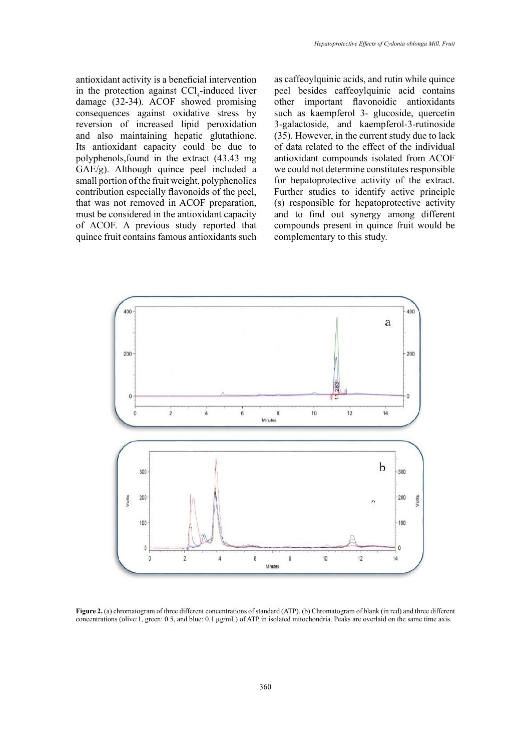antioxidant activity is a beneficial intervention in the protection against  $\text{CCl}_4$ -induced liver damage (32-34). ACOF showed promising consequences against oxidative stress by reversion of increased lipid peroxidation and also maintaining hepatic glutathione. Its antioxidant capacity could be due to polyphenols,found in the extract (43.43 mg GAE/g). Although quince peel included a small portion of the fruit weight, polyphenolics contribution especially flavonoids of the peel, that was not removed in ACOF preparation, must be considered in the antioxidant capacity of ACOF. A previous study reported that quince fruit contains famous antioxidants such

as caffeoylquinic acids, and rutin while quince peel besides caffeoylquinic acid contains other important flavonoidic antioxidants such as kaempferol 3- glucoside, quercetin 3-galactoside, and kaempferol-3-rutinoside (35). However, in the current study due to lack of data related to the effect of the individual antioxidant compounds isolated from ACOF we could not determine constitutes responsible for hepatoprotective activity of the extract. Further studies to identify active principle (s) responsible for hepatoprotective activity and to find out synergy among different compounds present in quince fruit would be complementary to this study.



Figure 2. (a) chromatogram of three different concentrations of standard (ATP). (b) Chromatogram of blank (in red) and three different concentrations (olive:1, green: 0.5, and blue: 0.1 µg/mL) of ATP in isolated mitochondria. Peaks are overlaid on the same time axis.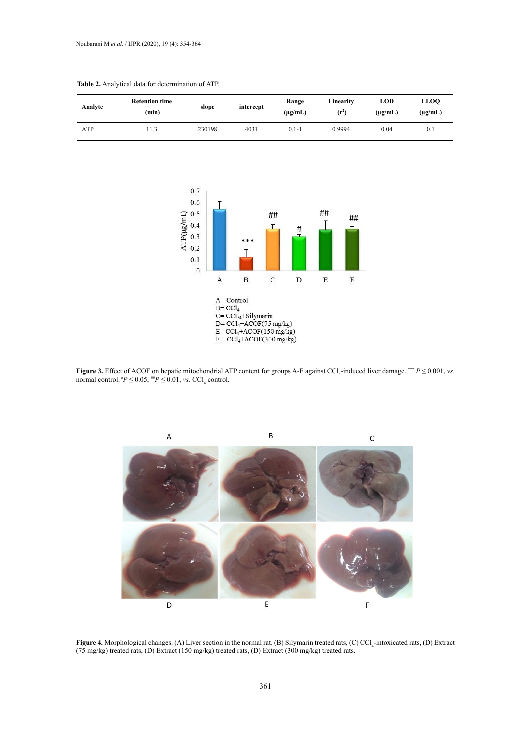

#### **Table 2.** Analytical data for determination of ATP.





Figure 4. Morphological changes. (A) Liver section in the normal rat. (B) Silymarin treated rats, (C) CCl<sub>4</sub>-intoxicated rats, (D) Extract (75 mg/kg) treated rats, (D) Extract (150 mg/kg) treated rats, (D) Extract (300 mg/kg) treated rats.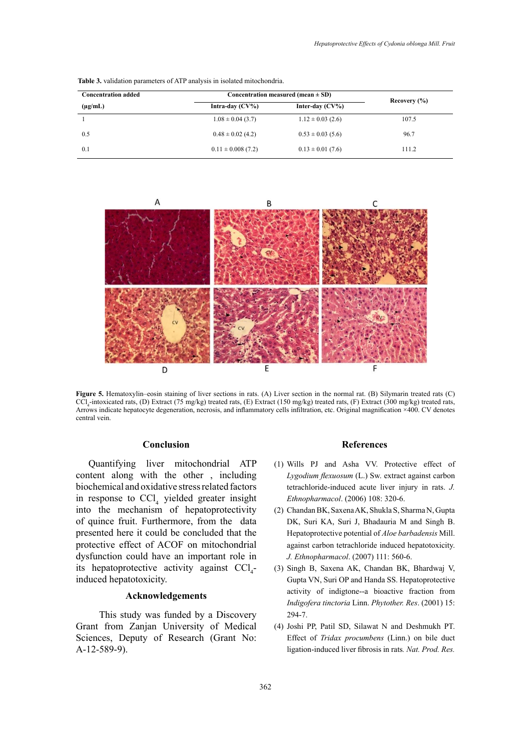| <b>Concentration added</b> | Concentration measured (mean $\pm$ SD)   | Recovery $(\% )$      |       |
|----------------------------|------------------------------------------|-----------------------|-------|
| $(\mu g/mL)$               | Inter-day $(CV\%)$<br>Intra-day $(CV\%)$ |                       |       |
|                            | $1.08 \pm 0.04$ (3.7)                    | $1.12 \pm 0.03$ (2.6) | 107.5 |
| 0.5                        | $0.48 \pm 0.02$ (4.2)                    | $0.53 \pm 0.03$ (5.6) | 96.7  |
| 0.1                        | $0.11 \pm 0.008(7.2)$                    | $0.13 \pm 0.01$ (7.6) | 111.2 |

**Table 3.** validation parameters of ATP analysis in isolated mitochondria.



Arrows indicate hepatocyte degeneration, necrosis, and inflammatory cells infiltration, etc. Original magnification ×400. CV denotes  $\frac{d}{dt}$  extract (150 mg/kg) treated ratio  $\frac{d}{dt}$  Extract (300 mg/kg) treated ratio  $\frac{d}{dt}$ **Figure 5.** Hematoxylin–eosin staining of liver sections in rats. (A) Liver section in the normal rat. (B) Silymarin treated rats (C) CCl4 -intoxicated rats, (D) Extract (75 mg/kg) treated rats, (E) Extract (150 mg/kg) treated rats, (F) Extract (300 mg/kg) treated rats, central vein.

## **Conclusion**

Quantifying liver mitochondrial ATP content along with the other , including biochemical and oxidative stress related factors in response to  $\text{CCl}_4$  yielded greater insight into the mechanism of hepatoprotectivity of quince fruit. Furthermore, from the data presented here it could be concluded that the protective effect of ACOF on mitochondrial dysfunction could have an important role in its hepatoprotective activity against  $\text{CCl}_4$ induced hepatotoxicity.

# **Acknowledgements**

 This study was funded by a Discovery Grant from Zanjan University of Medical Sciences, Deputy of Research (Grant No: A-12-589-9).

#### **References**

- (1) Wills PJ and Asha VV. Protective effect of *Lygodium flexuosum* (L.) Sw. extract against carbon tetrachloride-induced acute liver injury in rats. *J. Ethnopharmacol*. (2006) 108: 320-6.
- (2) [Chandan BK,](https://www.ncbi.nlm.nih.gov/pubmed/?term=Chandan%20BK%5BAuthor%5D&cauthor=true&cauthor_uid=17291700) [Saxena AK,](https://www.ncbi.nlm.nih.gov/pubmed/?term=Saxena%20AK%5BAuthor%5D&cauthor=true&cauthor_uid=17291700) [Shukla S,](https://www.ncbi.nlm.nih.gov/pubmed/?term=Shukla%20S%5BAuthor%5D&cauthor=true&cauthor_uid=17291700) [Sharma N,](https://www.ncbi.nlm.nih.gov/pubmed/?term=Sharma%20N%5BAuthor%5D&cauthor=true&cauthor_uid=17291700) [Gupta](https://www.ncbi.nlm.nih.gov/pubmed/?term=Gupta%20DK%5BAuthor%5D&cauthor=true&cauthor_uid=17291700) [DK,](https://www.ncbi.nlm.nih.gov/pubmed/?term=Gupta%20DK%5BAuthor%5D&cauthor=true&cauthor_uid=17291700) [Suri KA,](https://www.ncbi.nlm.nih.gov/pubmed/?term=Suri%20KA%5BAuthor%5D&cauthor=true&cauthor_uid=17291700) [Suri J](https://www.ncbi.nlm.nih.gov/pubmed/?term=Suri%20J%5BAuthor%5D&cauthor=true&cauthor_uid=17291700), [Bhadauria M](https://www.ncbi.nlm.nih.gov/pubmed/?term=Bhadauria%20M%5BAuthor%5D&cauthor=true&cauthor_uid=17291700) and [Singh B.](https://www.ncbi.nlm.nih.gov/pubmed/?term=Singh%20B%5BAuthor%5D&cauthor=true&cauthor_uid=17291700) Hepatoprotective potential of *Aloe barbadensis* Mill. against carbon tetrachloride induced hepatotoxicity. *[J. Ethnopharmacol](https://www.ncbi.nlm.nih.gov/pubmed/?term=Hepatoprotective+potential+of+Aloe+barbadensis+Mill.+against+carbon+tetrachloride+induced+hepatotoxicity)*. (2007) 111: 560-6.
- (3) [Singh B,](https://www.ncbi.nlm.nih.gov/pubmed/?term=Singh%20B%5BAuthor%5D&cauthor=true&cauthor_uid=11406850) [Saxena AK](https://www.ncbi.nlm.nih.gov/pubmed/?term=Saxena%20AK%5BAuthor%5D&cauthor=true&cauthor_uid=11406850), [Chandan BK](https://www.ncbi.nlm.nih.gov/pubmed/?term=Chandan%20BK%5BAuthor%5D&cauthor=true&cauthor_uid=11406850), [Bhardwaj V](https://www.ncbi.nlm.nih.gov/pubmed/?term=Bhardwaj%20V%5BAuthor%5D&cauthor=true&cauthor_uid=11406850), [Gupta VN,](https://www.ncbi.nlm.nih.gov/pubmed/?term=Gupta%20VN%5BAuthor%5D&cauthor=true&cauthor_uid=11406850) [Suri OP](https://www.ncbi.nlm.nih.gov/pubmed/?term=Suri%20OP%5BAuthor%5D&cauthor=true&cauthor_uid=11406850) and [Handa SS.](https://www.ncbi.nlm.nih.gov/pubmed/?term=Handa%20SS%5BAuthor%5D&cauthor=true&cauthor_uid=11406850) Hepatoprotective activity of indigtone--a bioactive fraction from *Indigofera tinctoria* Linn. *[Phytother. Res](https://www.ncbi.nlm.nih.gov/pubmed/?term=Hepatoprotective+Activity+of+Indigtone%E2%80%94A+Bioactive+Fraction+from+Indigofera+tinctoria+Linn.)*. (2001) 15: 294-7.
- (4) [Joshi PP](https://www.ncbi.nlm.nih.gov/pubmed/?term=Joshi%20PP%5BAuthor%5D&cauthor=true&cauthor_uid=21678161), [Patil SD](https://www.ncbi.nlm.nih.gov/pubmed/?term=Patil%20SD%5BAuthor%5D&cauthor=true&cauthor_uid=21678161), [Silawat N](https://www.ncbi.nlm.nih.gov/pubmed/?term=Silawat%20N%5BAuthor%5D&cauthor=true&cauthor_uid=21678161) and [Deshmukh PT.](https://www.ncbi.nlm.nih.gov/pubmed/?term=Deshmukh%20PT%5BAuthor%5D&cauthor=true&cauthor_uid=21678161) Effect of *Tridax procumbens* (Linn.) on bile duct ligation-induced liver fibrosis in rats*. [Nat. Prod. Res.](https://www.ncbi.nlm.nih.gov/pubmed/?term=Effect+of+Tridax+procumbens+(Linn.)+on+bile+duct+ligation-induced+liver+fibrosis+in+rats)*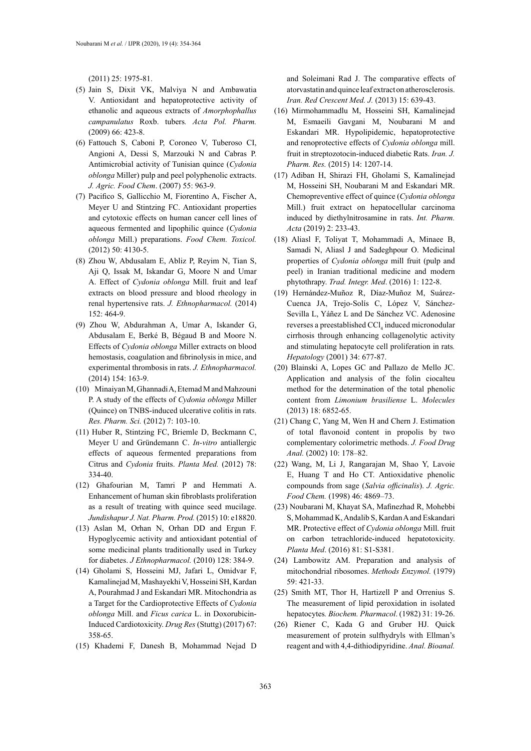(2011) 25: 1975-81.

- (5) [Jain S,](https://www.ncbi.nlm.nih.gov/pubmed/?term=Jain%20S%5BAuthor%5D&cauthor=true&cauthor_uid=19702175) [Dixit VK,](https://www.ncbi.nlm.nih.gov/pubmed/?term=Dixit%20VK%5BAuthor%5D&cauthor=true&cauthor_uid=19702175) [Malviya N](https://www.ncbi.nlm.nih.gov/pubmed/?term=Malviya%20N%5BAuthor%5D&cauthor=true&cauthor_uid=19702175) and [Ambawatia](https://www.ncbi.nlm.nih.gov/pubmed/?term=Ambawatia%20V%5BAuthor%5D&cauthor=true&cauthor_uid=19702175)  [V.](https://www.ncbi.nlm.nih.gov/pubmed/?term=Ambawatia%20V%5BAuthor%5D&cauthor=true&cauthor_uid=19702175) Antioxidant and hepatoprotective activity of ethanolic and aqueous extracts of *Amorphophallus campanulatus* Roxb. tubers*. [Acta Pol. Pharm.](https://www.ncbi.nlm.nih.gov/pubmed/?term=ANTIOXIDANT+AND+HEPATOPROTECTIVE+ACTIVITY+OF+ETHANOLIC+AND+AQUEOUS+EXTRACTS+OF+AMORPHOPHALLUS+CAMPANULATUS+ROXB.+TUBERS)* (2009) 66: 423-8.
- (6) [Fattouch S,](https://www.ncbi.nlm.nih.gov/pubmed/?term=Fattouch%20S%5BAuthor%5D&cauthor=true&cauthor_uid=17263500) [Caboni P,](https://www.ncbi.nlm.nih.gov/pubmed/?term=Caboni%20P%5BAuthor%5D&cauthor=true&cauthor_uid=17263500) [Coroneo V,](https://www.ncbi.nlm.nih.gov/pubmed/?term=Coroneo%20V%5BAuthor%5D&cauthor=true&cauthor_uid=17263500) [Tuberoso CI](https://www.ncbi.nlm.nih.gov/pubmed/?term=Tuberoso%20CI%5BAuthor%5D&cauthor=true&cauthor_uid=17263500), [Angioni A](https://www.ncbi.nlm.nih.gov/pubmed/?term=Angioni%20A%5BAuthor%5D&cauthor=true&cauthor_uid=17263500), [Dessi S](https://www.ncbi.nlm.nih.gov/pubmed/?term=Dessi%20S%5BAuthor%5D&cauthor=true&cauthor_uid=17263500), [Marzouki N](https://www.ncbi.nlm.nih.gov/pubmed/?term=Marzouki%20N%5BAuthor%5D&cauthor=true&cauthor_uid=17263500) and [Cabras P](https://www.ncbi.nlm.nih.gov/pubmed/?term=Cabras%20P%5BAuthor%5D&cauthor=true&cauthor_uid=17263500). Antimicrobial activity of Tunisian quince (*Cydonia oblonga* Miller) pulp and peel polyphenolic extracts. *[J. Agric. Food Chem](https://www.ncbi.nlm.nih.gov/pubmed/?term=Fattouch+S%2C+Caboni+P%2C+Coroneo+V%2C+Tuberoso+CI%2C+Angioni+A%2C+Dessi+S%2C+et+al.+Antimicrobial+activity+of+Tunisian+quince+(Cydonia+oblonga+Miller)+pulp+and+peel+polyphenolic+extracts.+J+Agric+Food+Chem+2007%3B+55%3A+963-969.)*. (2007) 55: 963-9.
- (7) [Pacifico S,](https://www.ncbi.nlm.nih.gov/pubmed/?term=Pacifico%20S%5BAuthor%5D&cauthor=true&cauthor_uid=23034449) [Gallicchio M](https://www.ncbi.nlm.nih.gov/pubmed/?term=Gallicchio%20M%5BAuthor%5D&cauthor=true&cauthor_uid=23034449), [Fiorentino A,](https://www.ncbi.nlm.nih.gov/pubmed/?term=Fiorentino%20A%5BAuthor%5D&cauthor=true&cauthor_uid=23034449) [Fischer A](https://www.ncbi.nlm.nih.gov/pubmed/?term=Fischer%20A%5BAuthor%5D&cauthor=true&cauthor_uid=23034449), [Meyer U](https://www.ncbi.nlm.nih.gov/pubmed/?term=Meyer%20U%5BAuthor%5D&cauthor=true&cauthor_uid=23034449) and [Stintzing FC.](https://www.ncbi.nlm.nih.gov/pubmed/?term=Stintzing%20FC%5BAuthor%5D&cauthor=true&cauthor_uid=23034449) Antioxidant properties and cytotoxic effects on human cancer cell lines of aqueous fermented and lipophilic quince (*Cydonia oblonga* Mill.) preparations. *[Food Chem. Toxicol.](https://www.ncbi.nlm.nih.gov/pubmed/23034449)* (2012) 50: 4130-5.
- (8) [Zhou W](https://www.ncbi.nlm.nih.gov/pubmed/?term=Zhou%20W%5BAuthor%5D&cauthor=true&cauthor_uid=24472663), [Abdusalam E,](https://www.ncbi.nlm.nih.gov/pubmed/?term=Abdusalam%20E%5BAuthor%5D&cauthor=true&cauthor_uid=24472663) [Abliz P](https://www.ncbi.nlm.nih.gov/pubmed/?term=Abliz%20P%5BAuthor%5D&cauthor=true&cauthor_uid=24472663), [Reyim N,](https://www.ncbi.nlm.nih.gov/pubmed/?term=Reyim%20N%5BAuthor%5D&cauthor=true&cauthor_uid=24472663) [Tian S](https://www.ncbi.nlm.nih.gov/pubmed/?term=Tian%20S%5BAuthor%5D&cauthor=true&cauthor_uid=24472663), [Aji Q](https://www.ncbi.nlm.nih.gov/pubmed/?term=Aji%20Q%5BAuthor%5D&cauthor=true&cauthor_uid=24472663), [Issak M,](https://www.ncbi.nlm.nih.gov/pubmed/?term=Issak%20M%5BAuthor%5D&cauthor=true&cauthor_uid=24472663) [Iskandar G,](https://www.ncbi.nlm.nih.gov/pubmed/?term=Iskandar%20G%5BAuthor%5D&cauthor=true&cauthor_uid=24472663) [Moore N](https://www.ncbi.nlm.nih.gov/pubmed/?term=Moore%20N%5BAuthor%5D&cauthor=true&cauthor_uid=24472663) and [Umar](https://www.ncbi.nlm.nih.gov/pubmed/?term=Umar%20A%5BAuthor%5D&cauthor=true&cauthor_uid=24472663)  [A.](https://www.ncbi.nlm.nih.gov/pubmed/?term=Umar%20A%5BAuthor%5D&cauthor=true&cauthor_uid=24472663) Effect of *Cydonia oblonga* Mill. fruit and leaf extracts on blood pressure and blood rheology in renal hypertensive rats. *[J. Ethnopharmacol.](https://www.ncbi.nlm.nih.gov/pubmed/?term=Zhou+W%2C+Abdusalam+E%2C+Abliz+P%2C+Reyim+N%2C+Tian+S%2C+Aji+Q%2C+et+al.+Effect+of+Cydonia+oblonga+Mill.+fruit+and+leaf+extracts+on+blood+pressure+and+blood+rheology+in+renal+hypertensive+rats.+J+Ethnopharmacol+2014%3B+152%3A+464-469.)* (2014) 152: 464-9.
- (9) [Zhou W](https://www.ncbi.nlm.nih.gov/pubmed/?term=Zhou%20W%5BAuthor%5D&cauthor=true&cauthor_uid=24704668), [Abdurahman A,](https://www.ncbi.nlm.nih.gov/pubmed/?term=Abdurahman%20A%5BAuthor%5D&cauthor=true&cauthor_uid=24704668) [Umar A,](https://www.ncbi.nlm.nih.gov/pubmed/?term=Umar%20A%5BAuthor%5D&cauthor=true&cauthor_uid=24704668) [Iskander G](https://www.ncbi.nlm.nih.gov/pubmed/?term=Iskander%20G%5BAuthor%5D&cauthor=true&cauthor_uid=24704668), [Abdusalam E,](https://www.ncbi.nlm.nih.gov/pubmed/?term=Abdusalam%20E%5BAuthor%5D&cauthor=true&cauthor_uid=24704668) [Berké B,](https://www.ncbi.nlm.nih.gov/pubmed/?term=Berk%C3%A9%20B%5BAuthor%5D&cauthor=true&cauthor_uid=24704668) [Bégaud B](https://www.ncbi.nlm.nih.gov/pubmed/?term=B%C3%A9gaud%20B%5BAuthor%5D&cauthor=true&cauthor_uid=24704668) and [Moore N](https://www.ncbi.nlm.nih.gov/pubmed/?term=Moore%20N%5BAuthor%5D&cauthor=true&cauthor_uid=24704668). Effects of *Cydonia oblonga* Miller extracts on blood hemostasis, coagulation and fibrinolysis in mice, and experimental thrombosis in rats. *[J. Ethnopharmacol.](https://www.ncbi.nlm.nih.gov/pubmed/?term=Effects+of+Cydonia+oblonga+Miller+extracts+on+blood+hemostasis%2C+coagulation+and+fibrinolysis+in+mice%2C+and+experimental+thrombosis+in+rats.++J.+++Ethnopharmacol.+154%2C163%E2%80%93169.doi%3A10.1016%2Fj.jep.2014.03.056)*  (2014) 154: 163-9.
- (10) [Minaiyan M,](https://www.ncbi.nlm.nih.gov/pubmed/?term=Minaiyan%20M%5BAuthor%5D&cauthor=true&cauthor_uid=23181087) [Ghannadi A,](https://www.ncbi.nlm.nih.gov/pubmed/?term=Ghannadi%20A%5BAuthor%5D&cauthor=true&cauthor_uid=23181087) [Etemad M](https://www.ncbi.nlm.nih.gov/pubmed/?term=Etemad%20M%5BAuthor%5D&cauthor=true&cauthor_uid=23181087) and [Mahzouni](https://www.ncbi.nlm.nih.gov/pubmed/?term=Mahzouni%20P%5BAuthor%5D&cauthor=true&cauthor_uid=23181087)  [P](https://www.ncbi.nlm.nih.gov/pubmed/?term=Mahzouni%20P%5BAuthor%5D&cauthor=true&cauthor_uid=23181087). A study of the effects of *Cydonia oblonga* Miller (Quince) on TNBS-induced ulcerative colitis in rats. *[Res. Pharm. Sci.](https://www.ncbi.nlm.nih.gov/pubmed/?term=Minaiyan%2CM.%2CGhannadi%2CA.%2CEtemad%2CM.%2CandMahzouni%2CP.(2012).+A+study+of+the+effects+of+Cydonia+oblonga+Miller+(Quince)+on+TNBS-induced+ulcerative+colitis+in+rats.+Res.+Pharm.+Sci.+7%2C103%E2%80%93110.)* (2012) 7: 103-10.
- (11) [Huber R,](https://www.ncbi.nlm.nih.gov/pubmed/?term=Huber%20R%5BAuthor%5D&cauthor=true&cauthor_uid=22193979) [Stintzing FC](https://www.ncbi.nlm.nih.gov/pubmed/?term=Stintzing%20FC%5BAuthor%5D&cauthor=true&cauthor_uid=22193979), [Briemle D,](https://www.ncbi.nlm.nih.gov/pubmed/?term=Briemle%20D%5BAuthor%5D&cauthor=true&cauthor_uid=22193979) [Beckmann C](https://www.ncbi.nlm.nih.gov/pubmed/?term=Beckmann%20C%5BAuthor%5D&cauthor=true&cauthor_uid=22193979), [Meyer U](https://www.ncbi.nlm.nih.gov/pubmed/?term=Meyer%20U%5BAuthor%5D&cauthor=true&cauthor_uid=22193979) and [Gründemann C](https://www.ncbi.nlm.nih.gov/pubmed/?term=Gr%C3%BCndemann%20C%5BAuthor%5D&cauthor=true&cauthor_uid=22193979). *In-vitro* antiallergic effects of aqueous fermented preparations from Citrus and *Cydonia* fruits. *[Planta Med.](https://www.ncbi.nlm.nih.gov/pubmed/?term=In-vitro++anti+allergic+effects+of+aqueous+fermented+preparations+from+Citrus+and+Cydonia+fruits.+Planta+Med.+78%2C334%E2%80%93340.doi%3A+10.1055%2Fs-0031-1280455)* (2012) 78: 334-40.
- (12) [Ghafourian M,](https://www.ncbi.nlm.nih.gov/pubmed/?term=Ghafourian%20M%5BAuthor%5D&cauthor=true&cauthor_uid=25866719) [Tamri P](https://www.ncbi.nlm.nih.gov/pubmed/?term=Tamri%20P%5BAuthor%5D&cauthor=true&cauthor_uid=25866719) and [Hemmati A](https://www.ncbi.nlm.nih.gov/pubmed/?term=Hemmati%20A%5BAuthor%5D&cauthor=true&cauthor_uid=25866719). Enhancement of human skin fibroblasts proliferation as a result of treating with quince seed mucilage. *[Jundishapur J. Nat. Pharm. Prod.](https://www.ncbi.nlm.nih.gov/pubmed/?term=Enhancement+of+human+skin+fibroblasts+proliferation+as+are+sult+of+treating+with+quince+seed+mucilage.+Jundishapur+J.Nat.+Pharm.+Prod.+10%2Ce18820%E2%80%93e18823.doi%3A10.17795%2Fjjnpp-18820)* (2015) 10: e18820.
- (13) [Aslan M](https://www.ncbi.nlm.nih.gov/pubmed/?term=Aslan%20M%5BAuthor%5D&cauthor=true&cauthor_uid=20100559), [Orhan N](https://www.ncbi.nlm.nih.gov/pubmed/?term=Orhan%20N%5BAuthor%5D&cauthor=true&cauthor_uid=20100559), [Orhan DD](https://www.ncbi.nlm.nih.gov/pubmed/?term=Orhan%20DD%5BAuthor%5D&cauthor=true&cauthor_uid=20100559) and [Ergun F](https://www.ncbi.nlm.nih.gov/pubmed/?term=Ergun%20F%5BAuthor%5D&cauthor=true&cauthor_uid=20100559). Hypoglycemic activity and antioxidant potential of some medicinal plants traditionally used in Turkey for diabetes. *[J Ethnopharmacol.](https://www.ncbi.nlm.nih.gov/pubmed/?term=Hypoglycemic+activity+and+antioxidant+potential+of+some+medicinal+plants+traditionally+used+in+Turkey+for+diabetes.+J.Ethnopharmacol.+128%2C384%E2%80%93389.doi%3A10.1016%2Fj.jep.2010.+01.040)* (2010) 128: 384-9.
- (14) Gholami S, Hosseini MJ, Jafari L, [Omidvar F](https://www.ncbi.nlm.nih.gov/pubmed/?term=Omidvar%20F%5BAuthor%5D&cauthor=true&cauthor_uid=28320040), [Kamalinejad M,](https://www.ncbi.nlm.nih.gov/pubmed/?term=Kamalinejad%20M%5BAuthor%5D&cauthor=true&cauthor_uid=28320040) [Mashayekhi V](https://www.ncbi.nlm.nih.gov/pubmed/?term=Mashayekhi%20V%5BAuthor%5D&cauthor=true&cauthor_uid=28320040), [Hosseini SH](https://www.ncbi.nlm.nih.gov/pubmed/?term=Hosseini%20SH%5BAuthor%5D&cauthor=true&cauthor_uid=28320040), [Kardan](https://www.ncbi.nlm.nih.gov/pubmed/?term=Kardan%20A%5BAuthor%5D&cauthor=true&cauthor_uid=28320040)  [A,](https://www.ncbi.nlm.nih.gov/pubmed/?term=Kardan%20A%5BAuthor%5D&cauthor=true&cauthor_uid=28320040) [Pourahmad J](https://www.ncbi.nlm.nih.gov/pubmed/?term=Pourahmad%20J%5BAuthor%5D&cauthor=true&cauthor_uid=28320040) and [Eskandari MR](https://www.ncbi.nlm.nih.gov/pubmed/?term=Eskandari%20MR%5BAuthor%5D&cauthor=true&cauthor_uid=28320040). Mitochondria as a Target for the [Cardio](http://www.ncbi.nlm.nih.gov/pubmed/25634181)protective Effects of *Cydonia oblonga* Mill. and *Ficus carica* L. in Doxorubicin-Induced Cardiotoxicity. *Drug Res* (Stuttg) (2017) 67: 358-65.
- (15) [Khademi F](https://www.ncbi.nlm.nih.gov/pubmed/?term=Khademi%20F%5BAuthor%5D&cauthor=true&cauthor_uid=24578828), [Danesh B](https://www.ncbi.nlm.nih.gov/pubmed/?term=Danesh%20B%5BAuthor%5D&cauthor=true&cauthor_uid=24578828), [Mohammad Nejad D](https://www.ncbi.nlm.nih.gov/pubmed/?term=Mohammad%20Nejad%20D%5BAuthor%5D&cauthor=true&cauthor_uid=24578828)

and [Soleimani Rad J.](https://www.ncbi.nlm.nih.gov/pubmed/?term=Soleimani%20Rad%20J%5BAuthor%5D&cauthor=true&cauthor_uid=24578828) The comparative effects of atorvastatin and quince leaf extract on atherosclerosis. *[Iran. Red Crescent Med. J.](https://www.ncbi.nlm.nih.gov/pubmed/?term=Khademi%2CF.%2CDanesh%2CB.%2CNejad%2CM.D.%2CandRad%2CJ.S.(2013).The+comparative+effects+of+atorvastatin+and+quince+leaf+extract+on+atherosclerosis.+Iran.+Red+Cres.+Med.+J.+15%2C639%E2%80%93643.doi%3A10.5812%2Fircmj.4030)* (2013) 15: 639-43.

- (16) [Mirmohammadlu M,](https://www.ncbi.nlm.nih.gov/pubmed/?term=Mirmohammadlu%20M%5BAuthor%5D&cauthor=true&cauthor_uid=26664388) [Hosseini SH](https://www.ncbi.nlm.nih.gov/pubmed/?term=Hosseini%20SH%5BAuthor%5D&cauthor=true&cauthor_uid=26664388), [Kamalinejad](https://www.ncbi.nlm.nih.gov/pubmed/?term=Kamalinejad%20M%5BAuthor%5D&cauthor=true&cauthor_uid=26664388) [M,](https://www.ncbi.nlm.nih.gov/pubmed/?term=Kamalinejad%20M%5BAuthor%5D&cauthor=true&cauthor_uid=26664388) [Esmaeili Gavgani M](https://www.ncbi.nlm.nih.gov/pubmed/?term=Esmaeili%20Gavgani%20M%5BAuthor%5D&cauthor=true&cauthor_uid=26664388), [Noubarani M](https://www.ncbi.nlm.nih.gov/pubmed/?term=Noubarani%20M%5BAuthor%5D&cauthor=true&cauthor_uid=26664388) and [Eskandari MR](https://www.ncbi.nlm.nih.gov/pubmed/?term=Eskandari%20MR%5BAuthor%5D&cauthor=true&cauthor_uid=26664388). Hypolipidemic, hepatoprotective and renoprotective effects of *Cydonia oblonga* mill. fruit in streptozotocin-induced diabetic Rats. *[Iran. J.](https://www.ncbi.nlm.nih.gov/pubmed/?term=mirmohammadlo+M) [Pharm. Res.](https://www.ncbi.nlm.nih.gov/pubmed/?term=mirmohammadlo+M)* (2015) 14: 1207-14.
- (17) Adiban H, Shirazi FH, Gholami S, Kamalinejad M, Hosseini SH, Noubarani M and Eskandari MR. Chemopreventive effect of quince (*Cydonia oblonga* Mill.) fruit extract on hepatocellular carcinoma induced by diethylnitrosamine in rats. *Int. Pharm. Acta* (2019) 2: 233-43.
- (18) Aliasl F, Toliyat T, Mohammadi A, Minaee B, Samadi N, Aliasl J and Sadeghpour O. Medicinal properties of *Cydonia oblonga* mill fruit (pulp and peel) in Iranian traditional medicine and modern phytothrapy. *Trad. Integr. Med*. (2016) 1: 122-8.
- (19) [Hernández-Muñoz R](https://www.ncbi.nlm.nih.gov/pubmed/?term=Hern%C3%A1ndez-Mu%C3%B1oz%20R%5BAuthor%5D&cauthor=true&cauthor_uid=11584363), [Díaz-Muñoz M](https://www.ncbi.nlm.nih.gov/pubmed/?term=D%C3%ADaz-Mu%C3%B1oz%20M%5BAuthor%5D&cauthor=true&cauthor_uid=11584363), [Suárez-](https://www.ncbi.nlm.nih.gov/pubmed/?term=Su%C3%A1rez-Cuenca%20JA%5BAuthor%5D&cauthor=true&cauthor_uid=11584363)[Cuenca JA](https://www.ncbi.nlm.nih.gov/pubmed/?term=Su%C3%A1rez-Cuenca%20JA%5BAuthor%5D&cauthor=true&cauthor_uid=11584363), [Trejo-Solís C](https://www.ncbi.nlm.nih.gov/pubmed/?term=Trejo-Sol%C3%ADs%20C%5BAuthor%5D&cauthor=true&cauthor_uid=11584363), [López V](https://www.ncbi.nlm.nih.gov/pubmed/?term=L%C3%B3pez%20V%5BAuthor%5D&cauthor=true&cauthor_uid=11584363), [Sánchez-](https://www.ncbi.nlm.nih.gov/pubmed/?term=S%C3%A1nchez-Sevilla%20L%5BAuthor%5D&cauthor=true&cauthor_uid=11584363)[Sevilla L,](https://www.ncbi.nlm.nih.gov/pubmed/?term=S%C3%A1nchez-Sevilla%20L%5BAuthor%5D&cauthor=true&cauthor_uid=11584363) [Yáñez L](https://www.ncbi.nlm.nih.gov/pubmed/?term=Y%C3%A1%C3%B1ez%20L%5BAuthor%5D&cauthor=true&cauthor_uid=11584363) and [De Sánchez VC](https://www.ncbi.nlm.nih.gov/pubmed/?term=De%20S%C3%A1nchez%20VC%5BAuthor%5D&cauthor=true&cauthor_uid=11584363). Adenosine reverses a preestablished CCl<sub>4</sub> induced micronodular cirrhosis through enhancing collagenolytic activity and stimulating hepatocyte cell proliferation in rats*. [Hepatology](https://www.ncbi.nlm.nih.gov/pubmed/?term=Adenosine+reverses+a+preestablished+CCl4-induced+micronodular+cirrhosis+through+enhancing+collagenolytic+activity+and+stimulating+hepatocyte+cell+proliferation+in+rats.)* (2001) 34: 677-87.
- (20) [Blainski A](http://www.ncbi.nlm.nih.gov/pubmed/?term=Blainski%20A%5BAuthor%5D&cauthor=true&cauthor_uid=23752469), [Lopes GC](http://www.ncbi.nlm.nih.gov/pubmed/?term=Lopes%20GC%5BAuthor%5D&cauthor=true&cauthor_uid=23752469) and Pallazo [de Mello JC.](http://www.ncbi.nlm.nih.gov/pubmed/?term=de%20Mello%20JC%5BAuthor%5D&cauthor=true&cauthor_uid=23752469) Application and analysis of the folin ciocalteu method for the determination of the total phenolic content from *Limonium brasiliense* L. *[Molecules](http://www.ncbi.nlm.nih.gov/pubmed/?term=Application+and+Analysis+of+the+Folin+Ciocalteu+Method+for++the+Determination+of+the+Total+Phenolic+Content+from+Limonium+Brasiliense+L.)*  (2013) 18: 6852-65.
- (21) Chang C, Yang M, Wen H and Chern J. Estimation of total flavonoid content in propolis by two complementary colorimetric methods. *J. Food Drug Anal.* (2002) 10: 178–82.
- (22) Wang, M, Li J, Rangarajan M, Shao Y, Lavoie E, Huang T and Ho CT. Antioxidative phenolic compounds from sage (*Salvia officinalis*). *J. Agric. Food Chem.* (1998) 46: 4869–73.
- (23) Noubarani M, Khayat SA, Mafinezhad R, Mohebbi S, Mohammad K, Andalib S, Kardan A and Eskandari MR. Protective effect of *Cydonia oblonga* Mill. fruit on carbon tetrachloride-induced hepatotoxicity. *Planta Med*. (2016) 81: S1-S381.
- (24) [Lambowitz AM.](https://www.ncbi.nlm.nih.gov/pubmed/?term=Lambowitz%20AM%5BAuthor%5D&cauthor=true&cauthor_uid=440084) Preparation and analysis of mitochondrial ribosomes. *[Methods Enzymol.](https://www.ncbi.nlm.nih.gov/pubmed/?term=Lambowitz+AM.+(1979).+Preparation+and+analysis+of+mitochondrial+ribosomes.+Methods+Enzymol+59%3A421%E2%80%9333.)* (1979) 59: 421-33.
- (25) Smith MT, Thor H, Hartizell P and Orrenius S. The measurement of lipid peroxidation in isolated hepatocytes*. Biochem. Pharmacol*. (1982) 31: 19-26.
- (26) Riener C, Kada G and Gruber HJ. Quick measurement of protein sulfhydryls with Ellman's reagent and with 4,4-dithiodipyridine. *Anal. Bioanal.*